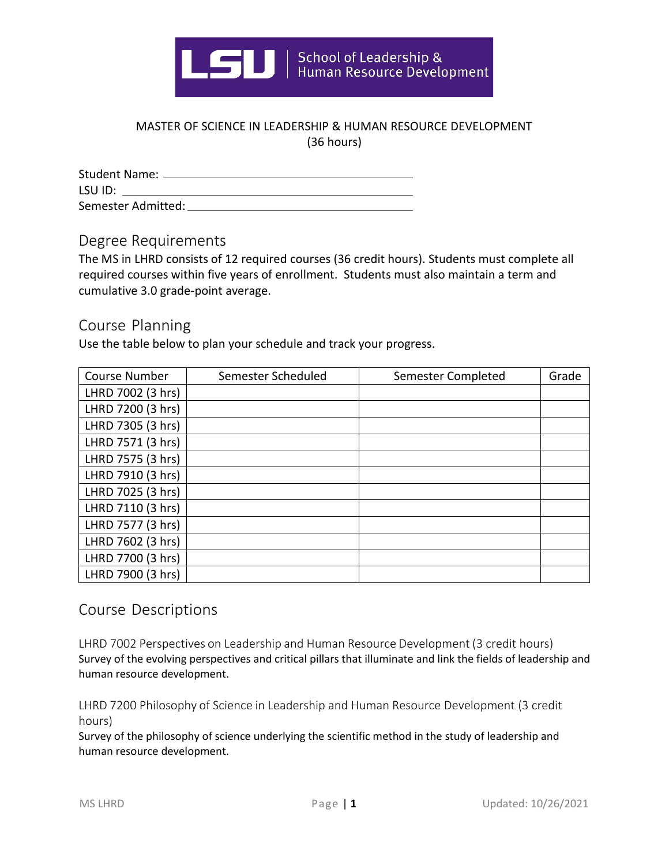

## MASTER OF SCIENCE IN LEADERSHIP & HUMAN RESOURCE DEVELOPMENT (36 hours)

| Student Name: _____ |
|---------------------|
| LSU ID:             |
| Semester Admitted:  |

Degree Requirements

The MS in LHRD consists of 12 required courses (36 credit hours). Students must complete all required courses within five years of enrollment. Students must also maintain a term and cumulative 3.0 grade-point average.

## Course Planning

Use the table below to plan your schedule and track your progress.

| <b>Course Number</b> | Semester Scheduled | <b>Semester Completed</b> | Grade |
|----------------------|--------------------|---------------------------|-------|
| LHRD 7002 (3 hrs)    |                    |                           |       |
| LHRD 7200 (3 hrs)    |                    |                           |       |
| LHRD 7305 (3 hrs)    |                    |                           |       |
| LHRD 7571 (3 hrs)    |                    |                           |       |
| LHRD 7575 (3 hrs)    |                    |                           |       |
| LHRD 7910 (3 hrs)    |                    |                           |       |
| LHRD 7025 (3 hrs)    |                    |                           |       |
| LHRD 7110 (3 hrs)    |                    |                           |       |
| LHRD 7577 (3 hrs)    |                    |                           |       |
| LHRD 7602 (3 hrs)    |                    |                           |       |
| LHRD 7700 (3 hrs)    |                    |                           |       |
| LHRD 7900 (3 hrs)    |                    |                           |       |

## Course Descriptions

LHRD 7002 Perspectives on Leadership and Human Resource Development (3 credit hours) Survey of the evolving perspectives and critical pillars that illuminate and link the fields of leadership and human resource development.

LHRD 7200 Philosophy of Science in Leadership and Human Resource Development (3 credit hours)

Survey of the philosophy of science underlying the scientific method in the study of leadership and human resource development.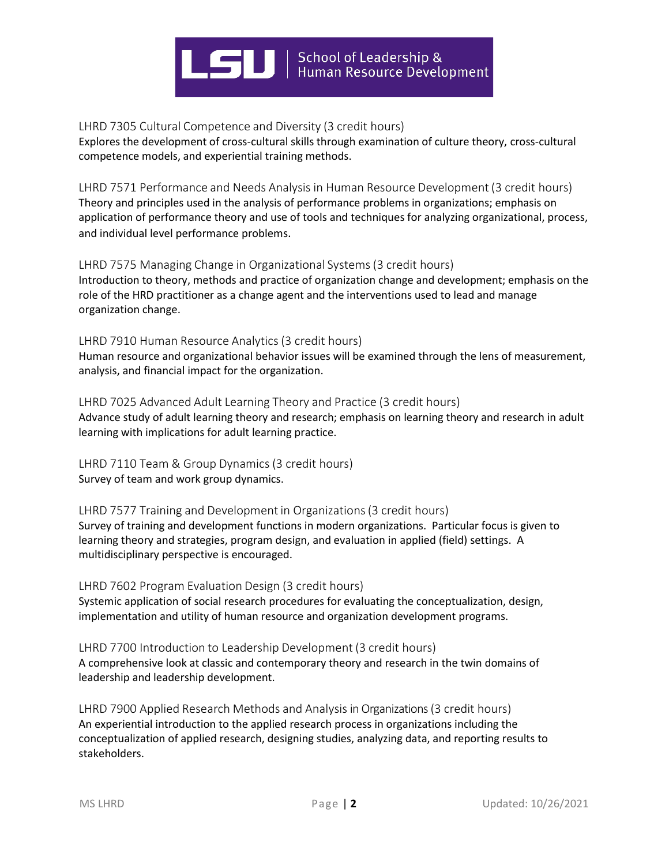

LHRD 7305 Cultural Competence and Diversity (3 credit hours)

Explores the development of cross-cultural skills through examination of culture theory, cross-cultural competence models, and experiential training methods.

LHRD 7571 Performance and Needs Analysis in Human Resource Development (3 credit hours) Theory and principles used in the analysis of performance problems in organizations; emphasis on application of performance theory and use of tools and techniques for analyzing organizational, process, and individual level performance problems.

#### LHRD 7575 Managing Change in Organizational Systems(3 credit hours)

Introduction to theory, methods and practice of organization change and development; emphasis on the role of the HRD practitioner as a change agent and the interventions used to lead and manage organization change.

### LHRD 7910 Human Resource Analytics (3 credit hours)

Human resource and organizational behavior issues will be examined through the lens of measurement, analysis, and financial impact for the organization.

### LHRD 7025 Advanced Adult Learning Theory and Practice (3 credit hours) Advance study of adult learning theory and research; emphasis on learning theory and research in adult learning with implications for adult learning practice.

LHRD 7110 Team & Group Dynamics (3 credit hours) Survey of team and work group dynamics.

#### LHRD 7577 Training and Development in Organizations(3 credit hours) Survey of training and development functions in modern organizations. Particular focus is given to learning theory and strategies, program design, and evaluation in applied (field) settings. A multidisciplinary perspective is encouraged.

#### LHRD 7602 Program Evaluation Design (3 credit hours) Systemic application of social research procedures for evaluating the conceptualization, design, implementation and utility of human resource and organization development programs.

### LHRD 7700 Introduction to Leadership Development (3 credit hours) A comprehensive look at classic and contemporary theory and research in the twin domains of leadership and leadership development.

LHRD 7900 Applied Research Methods and Analysis in Organizations (3 credit hours) An experiential introduction to the applied research process in organizations including the conceptualization of applied research, designing studies, analyzing data, and reporting results to stakeholders.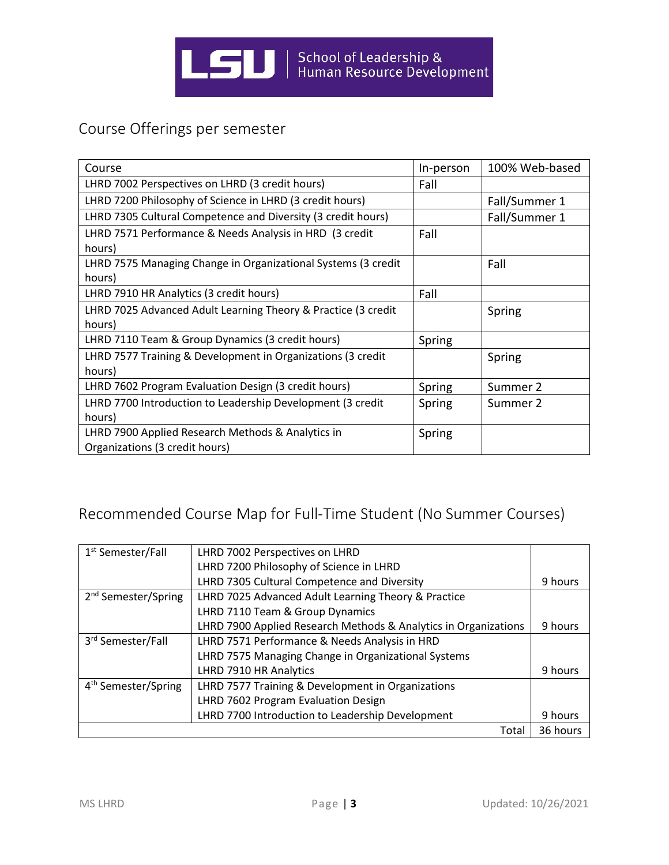

# Course Offerings per semester

| Course                                                                              | In-person | 100% Web-based |
|-------------------------------------------------------------------------------------|-----------|----------------|
| LHRD 7002 Perspectives on LHRD (3 credit hours)                                     | Fall      |                |
| LHRD 7200 Philosophy of Science in LHRD (3 credit hours)                            |           | Fall/Summer 1  |
| LHRD 7305 Cultural Competence and Diversity (3 credit hours)                        |           | Fall/Summer 1  |
| LHRD 7571 Performance & Needs Analysis in HRD (3 credit<br>hours)                   | Fall      |                |
| LHRD 7575 Managing Change in Organizational Systems (3 credit<br>hours)             |           | Fall           |
| LHRD 7910 HR Analytics (3 credit hours)                                             | Fall      |                |
| LHRD 7025 Advanced Adult Learning Theory & Practice (3 credit<br>hours)             |           | Spring         |
| LHRD 7110 Team & Group Dynamics (3 credit hours)                                    | Spring    |                |
| LHRD 7577 Training & Development in Organizations (3 credit<br>hours)               |           | Spring         |
| LHRD 7602 Program Evaluation Design (3 credit hours)                                | Spring    | Summer 2       |
| LHRD 7700 Introduction to Leadership Development (3 credit<br>hours)                | Spring    | Summer 2       |
| LHRD 7900 Applied Research Methods & Analytics in<br>Organizations (3 credit hours) | Spring    |                |

# Recommended Course Map for Full-Time Student (No Summer Courses)

| 1 <sup>st</sup> Semester/Fall   | LHRD 7002 Perspectives on LHRD                                  |          |
|---------------------------------|-----------------------------------------------------------------|----------|
|                                 | LHRD 7200 Philosophy of Science in LHRD                         |          |
|                                 | LHRD 7305 Cultural Competence and Diversity                     | 9 hours  |
| 2 <sup>nd</sup> Semester/Spring | LHRD 7025 Advanced Adult Learning Theory & Practice             |          |
|                                 | LHRD 7110 Team & Group Dynamics                                 |          |
|                                 | LHRD 7900 Applied Research Methods & Analytics in Organizations | 9 hours  |
| 3rd Semester/Fall               | LHRD 7571 Performance & Needs Analysis in HRD                   |          |
|                                 | LHRD 7575 Managing Change in Organizational Systems             |          |
|                                 | LHRD 7910 HR Analytics                                          | 9 hours  |
| 4 <sup>th</sup> Semester/Spring | LHRD 7577 Training & Development in Organizations               |          |
|                                 | LHRD 7602 Program Evaluation Design                             |          |
|                                 | LHRD 7700 Introduction to Leadership Development                | 9 hours  |
|                                 | Total                                                           | 36 hours |